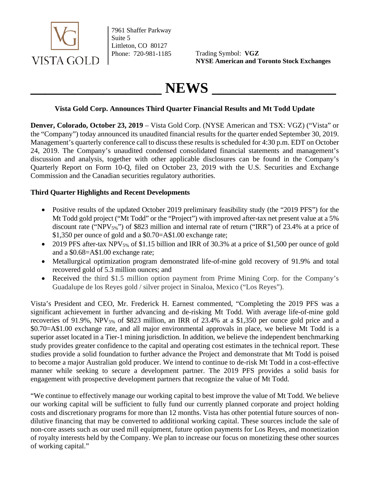

7961 Shaffer Parkway Suite 5 Littleton, CO 80127

Phone: 720-981-1185 Trading Symbol: **VGZ NYSE American and Toronto Stock Exchanges**

# $NEWS$

## **Vista Gold Corp. Announces Third Quarter Financial Results and Mt Todd Update**

**Denver, Colorado, October 23, 2019** – Vista Gold Corp. (NYSE American and TSX: VGZ) ("Vista" or the "Company") today announced its unaudited financial results for the quarter ended September 30, 2019. Management's quarterly conference call to discuss these results is scheduled for 4:30 p.m. EDT on October 24, 2019. The Company's unaudited condensed consolidated financial statements and management's discussion and analysis, together with other applicable disclosures can be found in the Company's Quarterly Report on Form 10-Q, filed on October 23, 2019 with the U.S. Securities and Exchange Commission and the Canadian securities regulatory authorities.

## **Third Quarter Highlights and Recent Developments**

- Positive results of the updated October 2019 preliminary feasibility study (the "2019 PFS") for the Mt Todd gold project ("Mt Todd" or the "Project") with improved after-tax net present value at a 5% discount rate ("NPV5%") of \$823 million and internal rate of return ("IRR") of 23.4% at a price of \$1,350 per ounce of gold and a \$0.70=A\$1.00 exchange rate;
- 2019 PFS after-tax NPV<sub>5%</sub> of \$1.15 billion and IRR of 30.3% at a price of \$1,500 per ounce of gold and a \$0.68=A\$1.00 exchange rate;
- Metallurgical optimization program demonstrated life-of-mine gold recovery of 91.9% and total recovered gold of 5.3 million ounces; and
- Received the third \$1.5 million option payment from Prime Mining Corp. for the Company's Guadalupe de los Reyes gold / silver project in Sinaloa, Mexico ("Los Reyes").

Vista's President and CEO, Mr. Frederick H. Earnest commented, "Completing the 2019 PFS was a significant achievement in further advancing and de-risking Mt Todd. With average life-of-mine gold recoveries of 91.9%, NPV<sub>5%</sub> of \$823 million, an IRR of 23.4% at a \$1,350 per ounce gold price and a \$0.70=A\$1.00 exchange rate, and all major environmental approvals in place, we believe Mt Todd is a superior asset located in a Tier-1 mining jurisdiction. In addition, we believe the independent benchmarking study provides greater confidence to the capital and operating cost estimates in the technical report. These studies provide a solid foundation to further advance the Project and demonstrate that Mt Todd is poised to become a major Australian gold producer. We intend to continue to de-risk Mt Todd in a cost-effective manner while seeking to secure a development partner. The 2019 PFS provides a solid basis for engagement with prospective development partners that recognize the value of Mt Todd.

"We continue to effectively manage our working capital to best improve the value of Mt Todd. We believe our working capital will be sufficient to fully fund our currently planned corporate and project holding costs and discretionary programs for more than 12 months. Vista has other potential future sources of nondilutive financing that may be converted to additional working capital. These sources include the sale of non-core assets such as our used mill equipment, future option payments for Los Reyes, and monetization of royalty interests held by the Company. We plan to increase our focus on monetizing these other sources of working capital."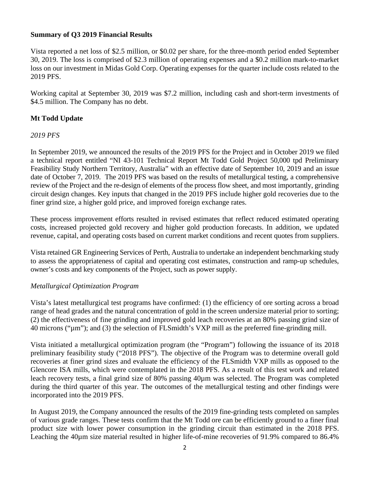### **Summary of Q3 2019 Financial Results**

Vista reported a net loss of \$2.5 million, or \$0.02 per share, for the three-month period ended September 30, 2019. The loss is comprised of \$2.3 million of operating expenses and a \$0.2 million mark-to-market loss on our investment in Midas Gold Corp. Operating expenses for the quarter include costs related to the 2019 PFS.

Working capital at September 30, 2019 was \$7.2 million, including cash and short-term investments of \$4.5 million. The Company has no debt.

## **Mt Todd Update**

*2019 PFS*

In September 2019, we announced the results of the 2019 PFS for the Project and in October 2019 we filed a technical report entitled "NI 43-101 Technical Report Mt Todd Gold Project 50,000 tpd Preliminary Feasibility Study Northern Territory, Australia" with an effective date of September 10, 2019 and an issue date of October 7, 2019. The 2019 PFS was based on the results of metallurgical testing, a comprehensive review of the Project and the re-design of elements of the process flow sheet, and most importantly, grinding circuit design changes. Key inputs that changed in the 2019 PFS include higher gold recoveries due to the finer grind size, a higher gold price, and improved foreign exchange rates.

These process improvement efforts resulted in revised estimates that reflect reduced estimated operating costs, increased projected gold recovery and higher gold production forecasts. In addition, we updated revenue, capital, and operating costs based on current market conditions and recent quotes from suppliers.

Vista retained GR Engineering Services of Perth, Australia to undertake an independent benchmarking study to assess the appropriateness of capital and operating cost estimates, construction and ramp-up schedules, owner's costs and key components of the Project, such as power supply.

#### *Metallurgical Optimization Program*

Vista's latest metallurgical test programs have confirmed: (1) the efficiency of ore sorting across a broad range of head grades and the natural concentration of gold in the screen undersize material prior to sorting; (2) the effectiveness of fine grinding and improved gold leach recoveries at an 80% passing grind size of 40 microns ("µm"); and (3) the selection of FLSmidth's VXP mill as the preferred fine-grinding mill.

Vista initiated a metallurgical optimization program (the "Program") following the issuance of its 2018 preliminary feasibility study ("2018 PFS"). The objective of the Program was to determine overall gold recoveries at finer grind sizes and evaluate the efficiency of the FLSmidth VXP mills as opposed to the Glencore ISA mills, which were contemplated in the 2018 PFS. As a result of this test work and related leach recovery tests, a final grind size of 80% passing 40µm was selected. The Program was completed during the third quarter of this year. The outcomes of the metallurgical testing and other findings were incorporated into the 2019 PFS.

In August 2019, the Company announced the results of the 2019 fine-grinding tests completed on samples of various grade ranges. These tests confirm that the Mt Todd ore can be efficiently ground to a finer final product size with lower power consumption in the grinding circuit than estimated in the 2018 PFS. Leaching the 40 $\mu$ m size material resulted in higher life-of-mine recoveries of 91.9% compared to 86.4%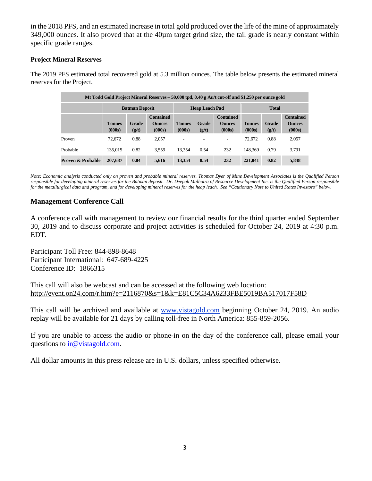in the 2018 PFS, and an estimated increase in total gold produced over the life of the mine of approximately 349,000 ounces. It also proved that at the 40µm target grind size, the tail grade is nearly constant within specific grade ranges.

#### **Project Mineral Reserves**

The 2019 PFS estimated total recovered gold at 5.3 million ounces. The table below presents the estimated mineral reserves for the Project.

| Mt Todd Gold Project Mineral Reserves – 50,000 tpd, 0.40 g Au/t cut-off and \$1,250 per ounce gold |                         |                |                                             |                         |                |                                             |                         |                |                                             |
|----------------------------------------------------------------------------------------------------|-------------------------|----------------|---------------------------------------------|-------------------------|----------------|---------------------------------------------|-------------------------|----------------|---------------------------------------------|
|                                                                                                    | <b>Batman Deposit</b>   |                |                                             | <b>Heap Leach Pad</b>   |                |                                             | <b>Total</b>            |                |                                             |
|                                                                                                    | <b>Tonnes</b><br>(000s) | Grade<br>(g/t) | <b>Contained</b><br><b>Ounces</b><br>(000s) | <b>Tonnes</b><br>(000s) | Grade<br>(g/t) | <b>Contained</b><br><b>Ounces</b><br>(000s) | <b>Tonnes</b><br>(000s) | Grade<br>(g/t) | <b>Contained</b><br><b>Ounces</b><br>(000s) |
| Proven                                                                                             | 72.672                  | 0.88           | 2.057                                       | ٠                       | ٠              | $\overline{\phantom{a}}$                    | 72.672                  | 0.88           | 2,057                                       |
| Probable                                                                                           | 135.015                 | 0.82           | 3.559                                       | 13.354                  | 0.54           | 232                                         | 148.369                 | 0.79           | 3,791                                       |
| <b>Proven &amp; Probable</b>                                                                       | 207,687                 | 0.84           | 5,616                                       | 13,354                  | 0.54           | 232                                         | 221,041                 | 0.82           | 5,848                                       |

*Note: Economic analysis conducted only on proven and probable mineral reserves. Thomas Dyer of Mine Development Associates is the Qualified Person responsible for developing mineral reserves for the Batman deposit. Dr. Deepak Malhotra of Resource Development Inc. is the Qualified Person responsible for the metallurgical data and program, and for developing mineral reserves for the heap leach. See "Cautionary Note to United States Investors" below.*

## **Management Conference Call**

A conference call with management to review our financial results for the third quarter ended September 30, 2019 and to discuss corporate and project activities is scheduled for October 24, 2019 at 4:30 p.m. EDT.

Participant Toll Free: 844-898-8648 Participant International: 647-689-4225 Conference ID: 1866315

This call will also be webcast and can be accessed at the following web location: <http://event.on24.com/r.htm?e=2116870&s=1&k=E81C5C34A6233FBE5019BA517017F58D>

This call will be archived and available at [www.vistagold.com](http://www.vistagold.com/) beginning October 24, 2019. An audio replay will be available for 21 days by calling toll-free in North America: 855-859-2056.

If you are unable to access the audio or phone-in on the day of the conference call, please email your questions to  $ir@vistagold.com$ .

All dollar amounts in this press release are in U.S. dollars, unless specified otherwise.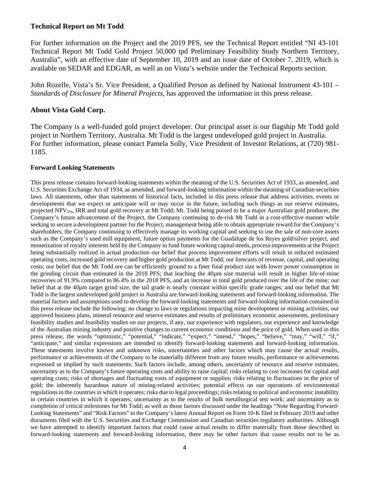#### **Technical Report on Mt Todd**

For further information on the Project and the 2019 PFS, see the Technical Report entitled "NI 43-101 Technical Report Mt Todd Gold Project 50,000 tpd Preliminary Feasibility Study Northern Territory, Australia", with an effective date of September 10, 2019 and an issue date of October 7, 2019, which is available on SEDAR and EDGAR, as well as on Vista's website under the Technical Reports section.

John Rozelle, Vista's Sr. Vice President, a Qualified Person as defined by National Instrument 43-101 – *Standards of Disclosure for Mineral Projects*, has approved the information in this press release.

### **About Vista Gold Corp.**

The Company is a well-funded gold project developer. Our principal asset is our flagship Mt Todd gold project in Northern Territory, Australia. Mt Todd is the largest undeveloped gold project in Australia. For further information, please contact Pamela Solly, Vice President of Investor Relations, at (720) 981- 1185.

#### **Forward Looking Statements**

This press release contains forward-looking statements within the meaning of the U.S. Securities Act of 1933, as amended, and U.S. Securities Exchange Act of 1934, as amended, and forward-looking information within the meaning of Canadian securities laws. All statements, other than statements of historical facts, included in this press release that address activities, events or developments that we expect or anticipate will or may occur in the future, including such things as our reserve estimates, projected NPV5%, IRR and total gold recovery at Mt Todd; Mt. Todd being poised to be a major Australian gold producer, the Company's future advancement of the Project, the Company continuing to de-risk Mt Todd in a cost-effective manner while seeking to secure a development partner for the Project, management being able to obtain appropriate reward for the Company's shareholders, the Company continuing to effectively manage its working capital and seeking to use the sale of non-core assets such as the Company's used mill equipment, future option payments for the Guadalupe de los Reyes gold/silver project, and monetization of royalty interests held by the Company to fund future working capital needs, process improvements at the Project being substantially realized in actual production our belief that process improvement efforts will result in reduced estimated operating costs, increased gold recovery and higher gold production at Mt Todd; our forecasts of revenue, capital, and operating costs; our belief that the Mt Todd ore can be efficiently ground to a finer final product size with lower power consumption in the grinding circuit than estimated in the 2018 PFS; that leaching the 40µm size material will result in higher life-of-mine recoveries of 91.9% compared to 86.4% in the 2018 PFS, and an increase in total gold produced over the life of the mine; our belief that at the 40µm target grind size, the tail grade is nearly constant within specific grade ranges; and our belief that Mt Todd is the largest undeveloped gold project in Australia are forward-looking statements and forward-looking information. The material factors and assumptions used to develop the forward-looking statements and forward-looking information contained in this press release include the following: no change to laws or regulations impacting mine development or mining activities, our approved business plans, mineral resource and reserve estimates and results of preliminary economic assessments, preliminary feasibility studies and feasibility studies on our projects, if any, our experience with regulators, our experience and knowledge of the Australian mining industry and positive changes to current economic conditions and the price of gold. When used in this press release, the words "optimistic," "potential," "indicate," "expect," "intend," "hopes," "believe," "may," "will," "if," "anticipate," and similar expressions are intended to identify forward-looking statements and forward-looking information. These statements involve known and unknown risks, uncertainties and other factors which may cause the actual results, performance or achievements of the Company to be materially different from any future results, performance or achievements expressed or implied by such statements. Such factors include, among others, uncertainty of resource and reserve estimates, uncertainty as to the Company's future operating costs and ability to raise capital; risks relating to cost increases for capital and operating costs; risks of shortages and fluctuating costs of equipment or supplies; risks relating to fluctuations in the price of gold; the inherently hazardous nature of mining-related activities; potential effects on our operations of environmental regulations in the countries in which it operates; risks due to legal proceedings; risks relating to political and economic instability in certain countries in which it operates; uncertainty as to the results of bulk metallurgical test work; and uncertainty as to completion of critical milestones for Mt Todd; as well as those factors discussed under the headings "Note Regarding Forward-Looking Statements" and "Risk Factors" in the Company's latest Annual Report on Form 10-K filed in February 2019 and other documents filed with the U.S. Securities and Exchange Commission and Canadian securities regulatory authorities. Although we have attempted to identify important factors that could cause actual results to differ materially from those described in forward-looking statements and forward-looking information, there may be other factors that cause results not to be as